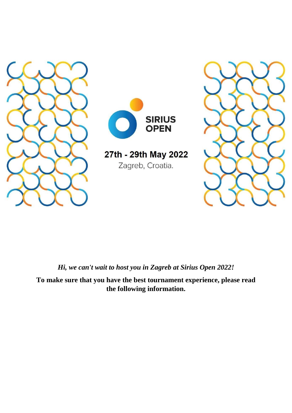



27th - 29th May 2022 Zagreb, Croatia.



*Hi, we can't wait to host you in Zagreb at Sirius Open 2022!*

**To make sure that you have the best tournament experience, please read the following information.**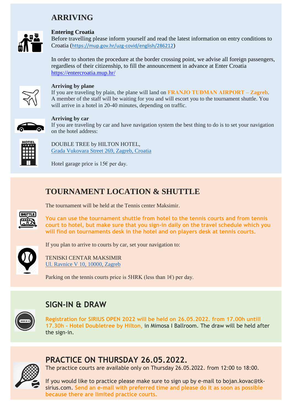### **ARRIVING**



#### **Entering Croatia**

Before travelling please inform yourself and read the latest information on entry conditions to Croatia (<https://mup.gov.hr/uzg-covid/english/286212>)

In order to shorten the procedure at the border crossing point, we advise all foreign passengers, regardless of their citizenship, to fill the announcement in advance at Enter Croatia <https://entercroatia.mup.hr/>



#### **Arriving by plane**

If you are traveling by plain, the plane will land on **FRANJO TUĐMAN AIRPORT – Zagreb**. A member of the staff will be waiting for you and will escort you to the tournament shuttle. You will arrive in a hotel in 20-40 minutes, depending on traffic.



#### **Arriving by car**

If you are traveling by car and have navigation system the best thing to do is to set your navigation on the hotel address:



DOUBLE TREE by HILTON HOTEL, Grada Vukovara [Street 269, Zagreb, Croatia](https://goo.gl/maps/PMCQdp9tf1cYhdBX9)

Hotel garage price is  $15\epsilon$  per day.

### **TOURNAMENT LOCATION & SHUTTLE**



**You can use the tournament shuttle from hotel to the tennis courts and from tennis court to hotel, but make sure that you sign-in daily on the travel schedule which you will find on tournaments desk in the hotel and on players desk at tennis courts.**



If you plan to arrive to courts by car, set your navigation to:

The tournament will be held at the Tennis center Maksimir.

TENISKI CENTAR MAKSIMIR [Ul. Ravnice V 10, 10000, Zagreb](https://goo.gl/maps/vWFXDo9sMEqfFmUt7)

Parking on the tennis courts price is 5HRK (less than  $1 \in$ ) per day.



## **SIGN-IN & DRAW**

**Registration for SIRIUS OPEN 2022 will be held on 26.05.2022. from 17.00h untill 17.30h – Hotel Doubletree by Hilton,** in Mimosa I Ballroom. The draw will be held after the sign-in.



### **PRACTICE ON THURSDAY 26.05.2022.**

The practice courts are available only on Thursday 26.05.2022. from 12:00 to 18:00.

If you would like to practice please make sure to sign up by e-mail to [bojan.kovac@tk](mailto:bojan.kovac@tk-sirius.com)[sirius.com.](mailto:bojan.kovac@tk-sirius.com) **Send an e-mail with preferred time and please do it as soon as possible because there are limited practice courts.**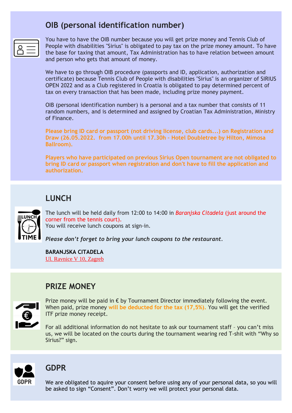## **OIB (personal identification number)**

You have to have the OIB number because you will get prize money and Tennis Club of People with disabilities "Sirius" is obligated to pay tax on the prize money amount. To have the base for taxing that amount, Tax Administration has to have relation between amount and person who gets that amount of money.

We have to go through OIB procedure (passports and ID, application, authorization and certificate) because Tennis Club of People with disabilities ''Sirius'' is an organizer of SIRIUS OPEN 2022 and as a Club registered in Croatia is obligated to pay determined percent of tax on every transaction that has been made, including prize money payment.

OIB (personal identification number) is a personal and a tax number that consists of 11 random numbers, and is determined and assigned by Croatian Tax Administration, Ministry of Finance.

**Please bring ID card or passport (not driving license, club cards...) on Registration and Draw (26.05.2022. from 17.00h until 17.30h – Hotel Doubletree by Hilton, Mimosa Ballroom).**

**Players who have participated on previous Sirius Open tournament are not obligated to bring ID card or passport when registration and don't have to fill the application and authorization.**

# **LUNCH**



The lunch will be held daily from 12:00 to 14:00 in *Baranjska Citadela* (just around the corner from the tennis court). You will receive lunch coupons at sign-in.

*Please don't forget to bring your lunch coupons to the restaurant.* 

**BARANJSKA CITADELA** [Ul. Ravnice V 10, Zagreb](https://goo.gl/maps/DycUcyCaJrq3GB9b9)

### **PRIZE MONEY**



Prize money will be paid in  $\epsilon$  by Tournament Director immediately following the event. When paid, prize money **will be deducted for the tax (17,5%).** You will get the verified ITF prize money receipt.

For all additional information do not hesitate to ask our tournament staff – you can't miss us, we will be located on the courts during the tournament wearing red T-shit with "Why so Sirius?" sign.



### **GDPR**

We are obligated to aquire your consent before using any of your personal data, so you will be asked to sign "Consent". Don't worry we will protect your personal data.